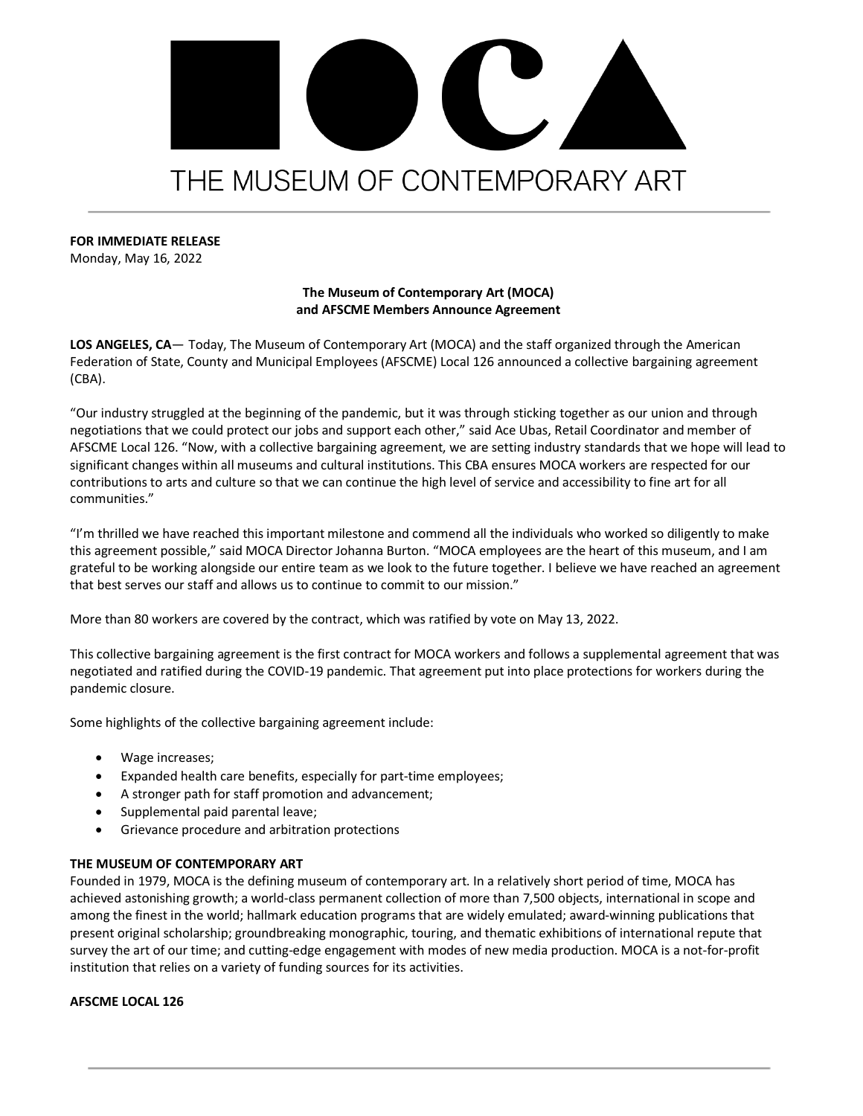# IV. THE MUSEUM OF CONTEMPORARY ART

**FOR IMMEDIATE RELEASE**

Monday, May 16, 2022

# **The Museum of Contemporary Art (MOCA) and AFSCME Members Announce Agreement**

**LOS ANGELES, CA**— Today, The Museum of Contemporary Art (MOCA) and the staff organized through the American Federation of State, County and Municipal Employees (AFSCME) Local 126 announced a collective bargaining agreement (CBA).

"Our industry struggled at the beginning of the pandemic, but it was through sticking together as our union and through negotiations that we could protect our jobs and support each other," said Ace Ubas, Retail Coordinator and member of AFSCME Local 126. "Now, with a collective bargaining agreement, we are setting industry standards that we hope will lead to significant changes within all museums and cultural institutions. This CBA ensures MOCA workers are respected for our contributions to arts and culture so that we can continue the high level of service and accessibility to fine art for all communities."

"I'm thrilled we have reached this important milestone and commend all the individuals who worked so diligently to make this agreement possible," said MOCA Director Johanna Burton. "MOCA employees are the heart of this museum, and I am grateful to be working alongside our entire team as we look to the future together. I believe we have reached an agreement that best serves our staff and allows us to continue to commit to our mission."

More than 80 workers are covered by the contract, which was ratified by vote on May 13, 2022.

This collective bargaining agreement is the first contract for MOCA workers and follows a supplemental agreement that was negotiated and ratified during the COVID-19 pandemic. That agreement put into place protections for workers during the pandemic closure.

Some highlights of the collective bargaining agreement include:

- Wage increases;
- Expanded health care benefits, especially for part-time employees;
- A stronger path for staff promotion and advancement;
- Supplemental paid parental leave;
- Grievance procedure and arbitration protections

## **THE MUSEUM OF CONTEMPORARY ART**

Founded in 1979, MOCA is the defining museum of contemporary art. In a relatively short period of time, MOCA has achieved astonishing growth; a world-class permanent collection of more than 7,500 objects, international in scope and among the finest in the world; hallmark education programs that are widely emulated; award-winning publications that present original scholarship; groundbreaking monographic, touring, and thematic exhibitions of international repute that survey the art of our time; and cutting-edge engagement with modes of new media production. MOCA is a not-for-profit institution that relies on a variety of funding sources for its activities.

## **AFSCME LOCAL 126**